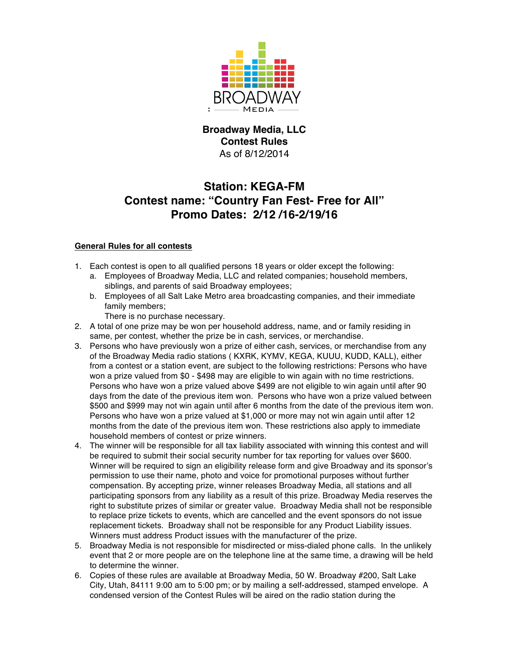

## **Broadway Media, LLC Contest Rules** As of 8/12/2014

## **Station: KEGA-FM Contest name: "Country Fan Fest- Free for All" Promo Dates: 2/12 /16-2/19/16**

## **General Rules for all contests**

- 1. Each contest is open to all qualified persons 18 years or older except the following:
	- a. Employees of Broadway Media, LLC and related companies; household members, siblings, and parents of said Broadway employees;
	- b. Employees of all Salt Lake Metro area broadcasting companies, and their immediate family members;
		- There is no purchase necessary.
- 2. A total of one prize may be won per household address, name, and or family residing in same, per contest, whether the prize be in cash, services, or merchandise.
- 3. Persons who have previously won a prize of either cash, services, or merchandise from any of the Broadway Media radio stations ( KXRK, KYMV, KEGA, KUUU, KUDD, KALL), either from a contest or a station event, are subject to the following restrictions: Persons who have won a prize valued from \$0 - \$498 may are eligible to win again with no time restrictions. Persons who have won a prize valued above \$499 are not eligible to win again until after 90 days from the date of the previous item won. Persons who have won a prize valued between \$500 and \$999 may not win again until after 6 months from the date of the previous item won. Persons who have won a prize valued at \$1,000 or more may not win again until after 12 months from the date of the previous item won. These restrictions also apply to immediate household members of contest or prize winners.
- 4. The winner will be responsible for all tax liability associated with winning this contest and will be required to submit their social security number for tax reporting for values over \$600. Winner will be required to sign an eligibility release form and give Broadway and its sponsor's permission to use their name, photo and voice for promotional purposes without further compensation. By accepting prize, winner releases Broadway Media, all stations and all participating sponsors from any liability as a result of this prize. Broadway Media reserves the right to substitute prizes of similar or greater value. Broadway Media shall not be responsible to replace prize tickets to events, which are cancelled and the event sponsors do not issue replacement tickets. Broadway shall not be responsible for any Product Liability issues. Winners must address Product issues with the manufacturer of the prize.
- 5. Broadway Media is not responsible for misdirected or miss-dialed phone calls. In the unlikely event that 2 or more people are on the telephone line at the same time, a drawing will be held to determine the winner.
- 6. Copies of these rules are available at Broadway Media, 50 W. Broadway #200, Salt Lake City, Utah, 84111 9:00 am to 5:00 pm; or by mailing a self-addressed, stamped envelope. A condensed version of the Contest Rules will be aired on the radio station during the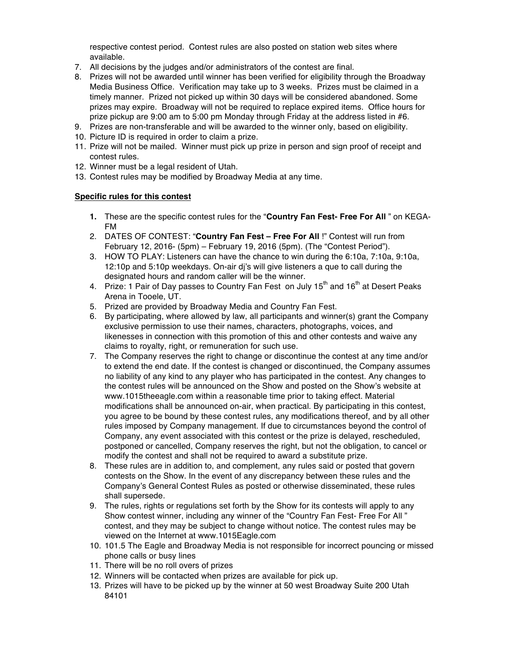respective contest period. Contest rules are also posted on station web sites where available.

- 7. All decisions by the judges and/or administrators of the contest are final.
- 8. Prizes will not be awarded until winner has been verified for eligibility through the Broadway Media Business Office. Verification may take up to 3 weeks. Prizes must be claimed in a timely manner. Prized not picked up within 30 days will be considered abandoned. Some prizes may expire. Broadway will not be required to replace expired items. Office hours for prize pickup are 9:00 am to 5:00 pm Monday through Friday at the address listed in #6.
- 9. Prizes are non-transferable and will be awarded to the winner only, based on eligibility.
- 10. Picture ID is required in order to claim a prize.
- 11. Prize will not be mailed. Winner must pick up prize in person and sign proof of receipt and contest rules.
- 12. Winner must be a legal resident of Utah.
- 13. Contest rules may be modified by Broadway Media at any time.

## **Specific rules for this contest**

- **1.** These are the specific contest rules for the "**Country Fan Fest- Free For All** " on KEGA-FM
- 2. DATES OF CONTEST: "**Country Fan Fest – Free For All** !" Contest will run from February 12, 2016- (5pm) – February 19, 2016 (5pm). (The "Contest Period").
- 3. HOW TO PLAY: Listeners can have the chance to win during the 6:10a, 7:10a, 9:10a, 12:10p and 5:10p weekdays. On-air dj's will give listeners a que to call during the designated hours and random caller will be the winner.
- 4. Prize: 1 Pair of Day passes to Country Fan Fest on July  $15<sup>th</sup>$  and  $16<sup>th</sup>$  at Desert Peaks Arena in Tooele, UT.
- 5. Prized are provided by Broadway Media and Country Fan Fest.
- 6. By participating, where allowed by law, all participants and winner(s) grant the Company exclusive permission to use their names, characters, photographs, voices, and likenesses in connection with this promotion of this and other contests and waive any claims to royalty, right, or remuneration for such use.
- 7. The Company reserves the right to change or discontinue the contest at any time and/or to extend the end date. If the contest is changed or discontinued, the Company assumes no liability of any kind to any player who has participated in the contest. Any changes to the contest rules will be announced on the Show and posted on the Show's website at www.1015theeagle.com within a reasonable time prior to taking effect. Material modifications shall be announced on-air, when practical. By participating in this contest, you agree to be bound by these contest rules, any modifications thereof, and by all other rules imposed by Company management. If due to circumstances beyond the control of Company, any event associated with this contest or the prize is delayed, rescheduled, postponed or cancelled, Company reserves the right, but not the obligation, to cancel or modify the contest and shall not be required to award a substitute prize.
- 8. These rules are in addition to, and complement, any rules said or posted that govern contests on the Show. In the event of any discrepancy between these rules and the Company's General Contest Rules as posted or otherwise disseminated, these rules shall supersede.
- 9. The rules, rights or regulations set forth by the Show for its contests will apply to any Show contest winner, including any winner of the "Country Fan Fest- Free For All " contest, and they may be subject to change without notice. The contest rules may be viewed on the Internet at www.1015Eagle.com
- 10. 101.5 The Eagle and Broadway Media is not responsible for incorrect pouncing or missed phone calls or busy lines
- 11. There will be no roll overs of prizes
- 12. Winners will be contacted when prizes are available for pick up.
- 13. Prizes will have to be picked up by the winner at 50 west Broadway Suite 200 Utah 84101